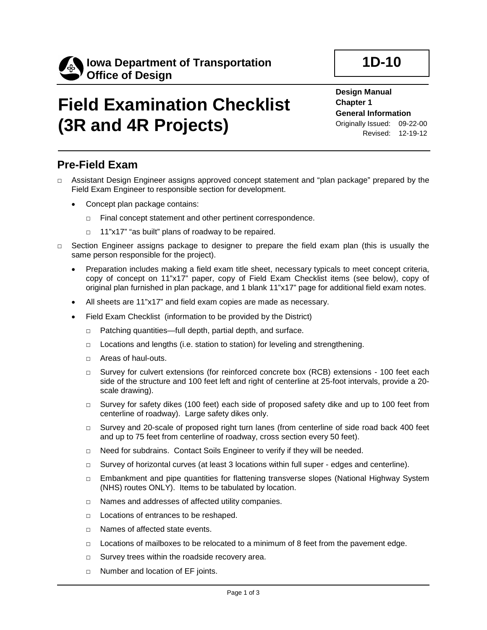

# **Field Examination Checklist (3R and 4R Projects)**

**Design Manual Chapter 1 General Information** Originally Issued: 09-22-00

Revised: 12-19-12

**1D-10**

#### **Pre-Field Exam**

- □ Assistant Design Engineer assigns approved concept statement and "plan package" prepared by the Field Exam Engineer to responsible section for development.
	- Concept plan package contains:
		- □ Final concept statement and other pertinent correspondence.
		- □ 11"x17" "as built" plans of roadway to be repaired.
- $\Box$  Section Engineer assigns package to designer to prepare the field exam plan (this is usually the same person responsible for the project).
	- Preparation includes making a field exam title sheet, necessary typicals to meet concept criteria, copy of concept on 11"x17" paper, copy of Field Exam Checklist items (see below), copy of original plan furnished in plan package, and 1 blank 11"x17" page for additional field exam notes.
	- All sheets are 11"x17" and field exam copies are made as necessary.
	- Field Exam Checklist (information to be provided by the District)
		- □ Patching quantities—full depth, partial depth, and surface.
		- □ Locations and lengths (i.e. station to station) for leveling and strengthening.
		- □ Areas of haul-outs.
		- □ Survey for culvert extensions (for reinforced concrete box (RCB) extensions 100 feet each side of the structure and 100 feet left and right of centerline at 25-foot intervals, provide a 20 scale drawing).
		- $\Box$  Survey for safety dikes (100 feet) each side of proposed safety dike and up to 100 feet from centerline of roadway). Large safety dikes only.
		- □ Survey and 20-scale of proposed right turn lanes (from centerline of side road back 400 feet and up to 75 feet from centerline of roadway, cross section every 50 feet).
		- □ Need for subdrains. Contact Soils Engineer to verify if they will be needed.
		- $\Box$  Survey of horizontal curves (at least 3 locations within full super edges and centerline).
		- □ Embankment and pipe quantities for flattening transverse slopes (National Highway System (NHS) routes ONLY). Items to be tabulated by location.
		- □ Names and addresses of affected utility companies.
		- □ Locations of entrances to be reshaped.
		- □ Names of affected state events.
		- $\Box$  Locations of mailboxes to be relocated to a minimum of 8 feet from the pavement edge.
		- □ Survey trees within the roadside recovery area.
		- □ Number and location of EF joints.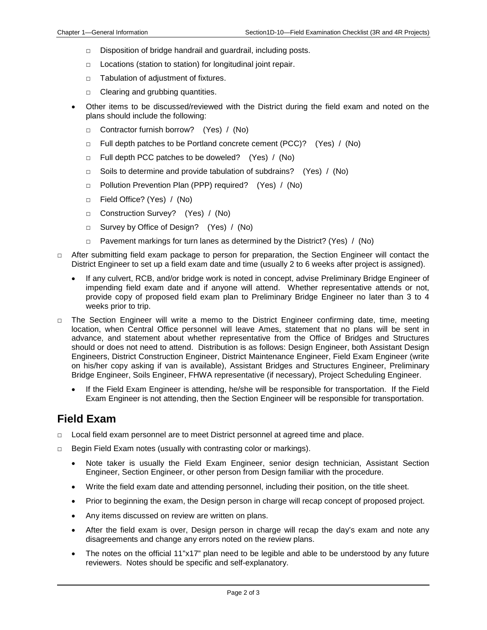- □ Disposition of bridge handrail and guardrail, including posts.
- □ Locations (station to station) for longitudinal joint repair.
- □ Tabulation of adjustment of fixtures.
- □ Clearing and grubbing quantities.
- Other items to be discussed/reviewed with the District during the field exam and noted on the plans should include the following:
	- □ Contractor furnish borrow? (Yes) / (No)
	- □ Full depth patches to be Portland concrete cement (PCC)? (Yes) / (No)
	- □ Full depth PCC patches to be doweled? (Yes) / (No)
	- □ Soils to determine and provide tabulation of subdrains? (Yes) / (No)
	- □ Pollution Prevention Plan (PPP) required? (Yes) / (No)
	- □ Field Office? (Yes) / (No)
	- □ Construction Survey? (Yes) / (No)
	- □ Survey by Office of Design? (Yes) / (No)
	- $\Box$  Pavement markings for turn lanes as determined by the District? (Yes) / (No)
- $\Box$  After submitting field exam package to person for preparation, the Section Engineer will contact the District Engineer to set up a field exam date and time (usually 2 to 6 weeks after project is assigned).
	- If any culvert, RCB, and/or bridge work is noted in concept, advise Preliminary Bridge Engineer of impending field exam date and if anyone will attend. Whether representative attends or not, provide copy of proposed field exam plan to Preliminary Bridge Engineer no later than 3 to 4 weeks prior to trip.
- $\Box$  The Section Engineer will write a memo to the District Engineer confirming date, time, meeting location, when Central Office personnel will leave Ames, statement that no plans will be sent in advance, and statement about whether representative from the Office of Bridges and Structures should or does not need to attend. Distribution is as follows: Design Engineer, both Assistant Design Engineers, District Construction Engineer, District Maintenance Engineer, Field Exam Engineer (write on his/her copy asking if van is available), Assistant Bridges and Structures Engineer, Preliminary Bridge Engineer, Soils Engineer, FHWA representative (if necessary), Project Scheduling Engineer.
	- If the Field Exam Engineer is attending, he/she will be responsible for transportation. If the Field Exam Engineer is not attending, then the Section Engineer will be responsible for transportation.

#### **Field Exam**

- Local field exam personnel are to meet District personnel at agreed time and place.
- □ Begin Field Exam notes (usually with contrasting color or markings).
	- Note taker is usually the Field Exam Engineer, senior design technician, Assistant Section Engineer, Section Engineer, or other person from Design familiar with the procedure.
	- Write the field exam date and attending personnel, including their position, on the title sheet.
	- Prior to beginning the exam, the Design person in charge will recap concept of proposed project.
	- Any items discussed on review are written on plans.
	- After the field exam is over, Design person in charge will recap the day's exam and note any disagreements and change any errors noted on the review plans.
	- The notes on the official 11"x17" plan need to be legible and able to be understood by any future reviewers. Notes should be specific and self-explanatory.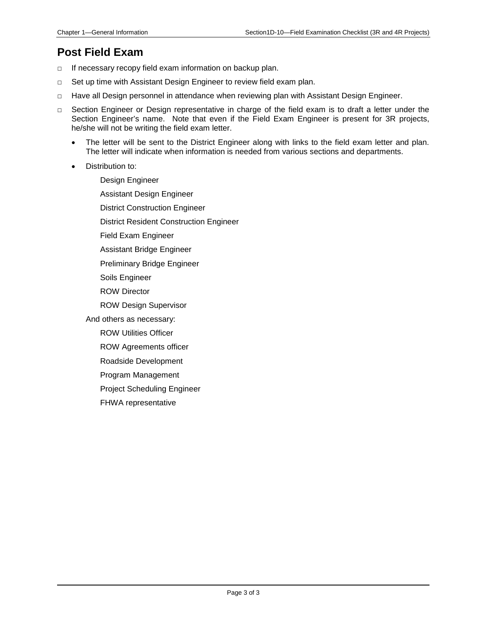#### **Post Field Exam**

- □ If necessary recopy field exam information on backup plan.
- □ Set up time with Assistant Design Engineer to review field exam plan.
- □ Have all Design personnel in attendance when reviewing plan with Assistant Design Engineer.
- □ Section Engineer or Design representative in charge of the field exam is to draft a letter under the Section Engineer's name. Note that even if the Field Exam Engineer is present for 3R projects, he/she will not be writing the field exam letter.
	- The letter will be sent to the District Engineer along with links to the field exam letter and plan. The letter will indicate when information is needed from various sections and departments.
	- Distribution to:

Design Engineer Assistant Design Engineer District Construction Engineer District Resident Construction Engineer Field Exam Engineer Assistant Bridge Engineer Preliminary Bridge Engineer Soils Engineer ROW Director ROW Design Supervisor And others as necessary: ROW Utilities Officer ROW Agreements officer Roadside Development Program Management Project Scheduling Engineer

FHWA representative